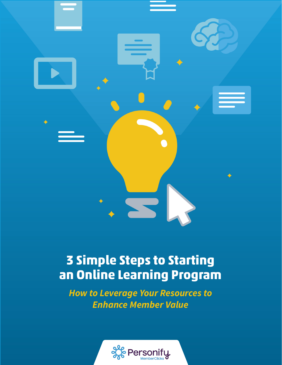

# **3 Simple Steps to Starting an Online Learning Program**

*How to Leverage Your Resources to Enhance Member Value*

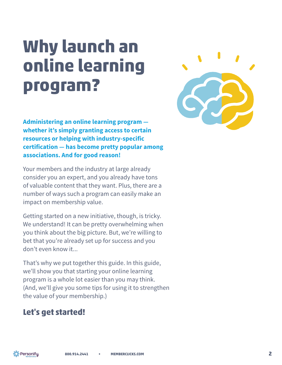# **Why launch an online learning program?**

**Administering an online learning program whether it's simply granting access to certain resources or helping with industry-specific certification — has become pretty popular among associations. And for good reason!**

Your members and the industry at large already consider you an expert, and you already have tons of valuable content that they want. Plus, there are a number of ways such a program can easily make an impact on membership value.

Getting started on a new initiative, though, is tricky. We understand! It can be pretty overwhelming when you think about the big picture. But, we're willing to bet that you're already set up for success and you don't even know it...

That's why we put together this guide. In this guide, we'll show you that starting your online learning program is a whole lot easier than you may think. (And, we'll give you some tips for using it to strengthen the value of your membership.)

# **Let's get started!**

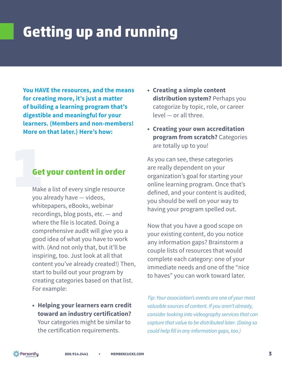# **Getting up and running**

**You HAVE the resources, and the means for creating more, it's just a matter of building a learning program that's digestible and meaningful for your learners. (Members and non-members! More on that later.) Here's how:**

# 1**Get your content in order**

Make a list of every single resource you already have — videos, whitepapers, eBooks, webinar recordings, blog posts, etc. — and where the file is located. Doing a comprehensive audit will give you a good idea of what you have to work with. (And not only that, but it'll be inspiring, too. Just look at all that content you've already created!) Then, start to build out your program by creating categories based on that list. For example:

**• Helping your learners earn credit toward an industry certification?** Your categories might be similar to

the certification requirements.

- **• Creating a simple content distribution system?** Perhaps you categorize by topic, role, or career level — or all three.
- **• Creating your own accreditation program from scratch?** Categories are totally up to you!

As you can see, these categories are really dependent on your organization's goal for starting your online learning program. Once that's defined, and your content is audited, you should be well on your way to having your program spelled out.

Now that you have a good scope on your existing content, do you notice any information gaps? Brainstorm a couple lists of resources that would complete each category: one of your immediate needs and one of the "nice to haves" you can work toward later.

*Tip: Your association's events are one of your most valuable sources of content. If you aren't already, consider looking into videography services that can capture that value to be distributed later. (Doing so could help fill in any information gaps, too.)*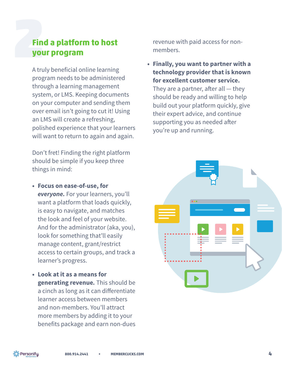# 2**Find a platform to host your program**

A truly beneficial online learning program needs to be administered through a learning management system, or LMS. Keeping documents on your computer and sending them over email isn't going to cut it! Using an LMS will create a refreshing, polished experience that your learners will want to return to again and again.

Don't fret! Finding the right platform should be simple if you keep three things in mind:

- **• Focus on ease-of-use, for** *everyone.* For your learners, you'll want a platform that loads quickly, is easy to navigate, and matches the look and feel of your website. And for the administrator (aka, you), look for something that'll easily manage content, grant/restrict access to certain groups, and track a learner's progress.
- **• Look at it as a means for generating revenue***.* This should be a cinch as long as it can differentiate learner access between members and non-members. You'll attract more members by adding it to your benefits package and earn non-dues

revenue with paid access for nonmembers.

**• Finally, you want to partner with a technology provider that is known for excellent customer service.**

They are a partner, after all  $-$  they should be ready and willing to help build out your platform quickly, give their expert advice, and continue supporting you as needed after you're up and running.



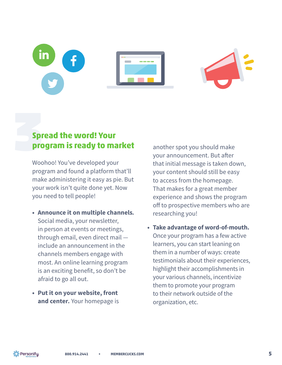# **Spread the word! Your<br>
program is ready to many program is ready to market**

Woohoo! You've developed your program and found a platform that'll make administering it easy as pie. But your work isn't quite done yet. Now you need to tell people!

- **• Announce it on multiple channels***.* Social media, your newsletter, in person at events or meetings, through email, even direct mail include an announcement in the channels members engage with most. An online learning program is an exciting benefit, so don't be afraid to go all out.
- **• Put it on your website, front and center***.* Your homepage is

another spot you should make your announcement. But after that initial message is taken down, your content should still be easy to access from the homepage. That makes for a great member experience and shows the program off to prospective members who are researching you!

**• Take advantage of word-of-mouth.** Once your program has a few active learners, you can start leaning on them in a number of ways: create testimonials about their experiences, highlight their accomplishments in your various channels, incentivize them to promote your program to their network outside of the organization, etc.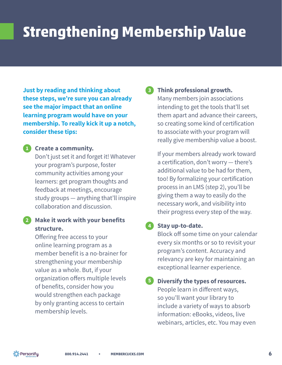# **Strengthening Membership Value**

**Just by reading and thinking about these steps, we're sure you can already see the major impact that an online learning program would have on your membership. To really kick it up a notch, consider these tips:**

## **Create a community. 1**

Don't just set it and forget it! Whatever your program's purpose, foster community activities among your learners: get program thoughts and feedback at meetings, encourage study groups — anything that'll inspire collaboration and discussion.

## **Make it work with your benefits 2 structure.**

Offering free access to your online learning program as a member benefit is a no-brainer for strengthening your membership value as a whole. But, if your organization offers multiple levels of benefits, consider how you would strengthen each package by only granting access to certain membership levels.

#### **Think professional growth. 3**

Many members join associations intending to get the tools that'll set them apart and advance their careers, so creating some kind of certification to associate with your program will really give membership value a boost.

If your members already work toward a certification, don't worry — there's additional value to be had for them, too! By formalizing your certification process in an LMS (step 2), you'll be giving them a way to easily do the necessary work, and visibility into their progress every step of the way.

## **Stay up-to-date. 4**

Block off some time on your calendar every six months or so to revisit your program's content. Accuracy and relevancy are key for maintaining an exceptional learner experience.

#### **Diversify the types of resources. 5**

People learn in different ways, so you'll want your library to include a variety of ways to absorb information: eBooks, videos, live webinars, articles, etc. You may even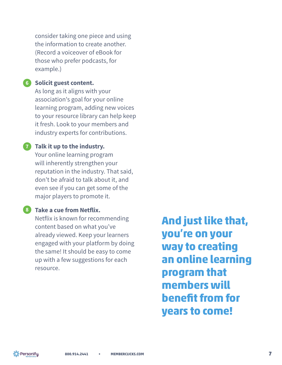consider taking one piece and using the information to create another. (Record a voiceover of eBook for those who prefer podcasts, for example.)

### **Solicit guest content. 6**

As long as it aligns with your association's goal for your online learning program, adding new voices to your resource library can help keep it fresh. Look to your members and industry experts for contributions.

## **Talk it up to the industry. 7**

Your online learning program will inherently strengthen your reputation in the industry. That said, don't be afraid to talk about it, and even see if you can get some of the major players to promote it.

## **Take a cue from Netflix. 8**

Netflix is known for recommending content based on what you've already viewed. Keep your learners engaged with your platform by doing the same! It should be easy to come up with a few suggestions for each resource.

**And just like that, you're on your way to creating an online learning program that members will benefit from for years to come!**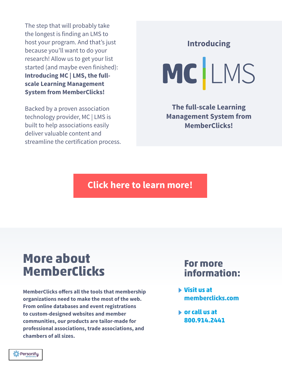The step that will probably take the longest is finding an LMS to host your program. And that's just because you'll want to do your research! Allow us to get your list started (and maybe even finished): **Introducing MC | LMS, the fullscale Learning Management System from MemberClicks!**

Backed by a proven association technology provider, MC | LMS is built to help associations easily deliver valuable content and streamline the certification process. **Introducing**

MCLMS

**The full-scale Learning [Management System from](http://www.memberclicks.com/lms)  MemberClicks!** 

# **[Click here to learn more!](http://www.memberclicks.com/lms)**

# **More about MemberClicks**

**MemberClicks offers all the tools that membership organizations need to make the most of the web. From online databases and event registrations to custom-designed websites and member communities, our products are tailor-made for professional associations, trade associations, and chambers of all sizes.**

# **For more information:**

- **Visit us at [memberclicks.com](http://www.memberclicks.com/)**
- **or call us at 800.914.2441**